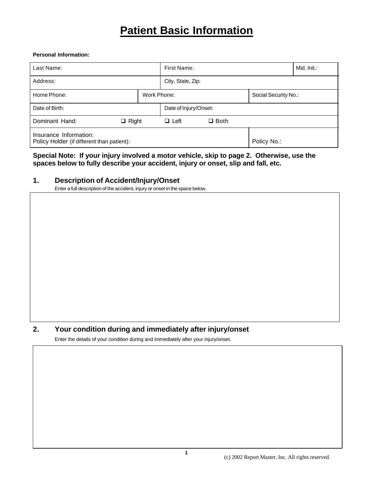# **Patient Basic Information**

#### **Personal Information:**

| Last Name:                                                           |              |  | First Name:                |                      |             | Mid. Init.: |  |
|----------------------------------------------------------------------|--------------|--|----------------------------|----------------------|-------------|-------------|--|
| Address:                                                             |              |  | City, State, Zip:          |                      |             |             |  |
| Home Phone:<br>Work Phone:                                           |              |  |                            | Social Security No.: |             |             |  |
| Date of Birth:                                                       |              |  | Date of Injury/Onset:      |                      |             |             |  |
| Dominant Hand:                                                       | $\Box$ Right |  | $\Box$ Both<br>$\Box$ Left |                      |             |             |  |
| Insurance Information:<br>Policy Holder (if different than patient): |              |  |                            |                      | Policy No.: |             |  |

#### **Special Note: If your injury involved a motor vehicle, skip to page 2. Otherwise, use the spaces below to fully describe your accident, injury or onset, slip and fall, etc.**

#### **1. Description of Accident/Injury/Onset**

Enter a full description of the accident, injury or onset in the space below.

### **2. Your condition during and immediately after injury/onset**

Enter the details of your condition during and immediately after your injury/onset.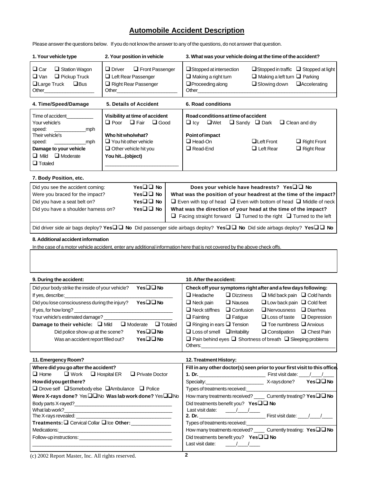## **Automobile Accident Description**

Please answer the questions below. If you do not know the answer to any of the questions, do not answer that question.

| 1. Your vehicle type                                                                                                                                                                                                                                                                               | 2. Your position in vehicle                                                                                                                                                         |  | 3. What was your vehicle doing at the time of the accident?                                                                                                                                                                                                                                                                                                                                                                               |                                                                                                                                                                                                                                                                                                                                                                                                                                                                                                                                      |  |  |  |  |  |
|----------------------------------------------------------------------------------------------------------------------------------------------------------------------------------------------------------------------------------------------------------------------------------------------------|-------------------------------------------------------------------------------------------------------------------------------------------------------------------------------------|--|-------------------------------------------------------------------------------------------------------------------------------------------------------------------------------------------------------------------------------------------------------------------------------------------------------------------------------------------------------------------------------------------------------------------------------------------|--------------------------------------------------------------------------------------------------------------------------------------------------------------------------------------------------------------------------------------------------------------------------------------------------------------------------------------------------------------------------------------------------------------------------------------------------------------------------------------------------------------------------------------|--|--|--|--|--|
| $\square$ Car<br>$\Box$ Station Wagon<br>$\square$ Van<br>$\Box$ Pickup Truck<br>Large Truck<br>$\Box$ Bus<br>Other <b>Communication</b>                                                                                                                                                           | $\Box$ Driver<br><b>E</b> Front Passenger<br>Left Rear Passenger<br>Right Rear Passenger                                                                                            |  | $\Box$ Stopped at intersection<br>$\square$ Making a right turn<br>$\Box$ Proceeding along<br>Other <b>Communication</b>                                                                                                                                                                                                                                                                                                                  | $\Box$ Stopped in traffic $\Box$ Stopped at light<br>$\Box$ Making a left turn $\Box$ Parking<br>$\Box$ Slowing down<br><b>Accelerating</b>                                                                                                                                                                                                                                                                                                                                                                                          |  |  |  |  |  |
| 4. Time/Speed/Damage                                                                                                                                                                                                                                                                               | 5. Details of Accident                                                                                                                                                              |  | 6. Road conditions                                                                                                                                                                                                                                                                                                                                                                                                                        |                                                                                                                                                                                                                                                                                                                                                                                                                                                                                                                                      |  |  |  |  |  |
| Time of accident<br>Your vehicle's<br>speed:<br>mph<br>Their vehicle's<br>speed:<br>_mph<br><b>Contract Contract</b><br>Damage to your vehicle<br>$\Box$ Mild $\Box$ Moderate<br>$\Box$ Totaled                                                                                                    | Visibility at time of accident<br>$\Box$ Poor<br>$\Box$ Fair<br>$\Box$ Good<br>Who hit who/what?<br>$\Box$ You hit other vehicle<br>$\Box$ Other vehicle hit you<br>You hit(object) |  | Road conditions at time of accident<br>$\Box$ Icy $\Box$ Wet<br>Point of impact<br>$\Box$ Head-On<br>$\square$ Read-End                                                                                                                                                                                                                                                                                                                   | $\Box$ Sandy $\Box$ Dark<br>$\Box$ Clean and dry<br>$\Box$ Left Front<br>$\Box$ Right Front<br>$\Box$ Left Rear<br>$\Box$ Right Rear                                                                                                                                                                                                                                                                                                                                                                                                 |  |  |  |  |  |
| 7. Body Position, etc.                                                                                                                                                                                                                                                                             |                                                                                                                                                                                     |  |                                                                                                                                                                                                                                                                                                                                                                                                                                           |                                                                                                                                                                                                                                                                                                                                                                                                                                                                                                                                      |  |  |  |  |  |
| Did you see the accident coming:<br>Were you braced for the impact?<br>Did you have a seat belt on?<br>Did you have a shoulder harness on?                                                                                                                                                         | Yes□□No<br>Yes□□ No<br>Yes□□ No<br>Yes□□ No                                                                                                                                         |  |                                                                                                                                                                                                                                                                                                                                                                                                                                           | Does your vehicle have headrests? Yes $\square \square$ No<br>What was the position of your headrest at the time of the impact?<br>$\Box$ Even with top of head $\Box$ Even with bottom of head $\Box$ Middle of neck<br>What was the direction of your head at the time of the impact?<br>$\Box$ Facing straight forward $\Box$ Turned to the right $\Box$ Turned to the left<br>Did driver side air bags deploy? Yes $\Box\Box$ No Did passenger side airbags deploy? Yes $\Box\Box$ No Did side airbags deploy? Yes $\Box\Box$ No |  |  |  |  |  |
| 8. Additional accident information                                                                                                                                                                                                                                                                 |                                                                                                                                                                                     |  |                                                                                                                                                                                                                                                                                                                                                                                                                                           |                                                                                                                                                                                                                                                                                                                                                                                                                                                                                                                                      |  |  |  |  |  |
| In the case of a motor vehicle accident, enter any additional information here that is not covered by the above check offs.<br>9. During the accident:                                                                                                                                             |                                                                                                                                                                                     |  | 10. After the accident:                                                                                                                                                                                                                                                                                                                                                                                                                   |                                                                                                                                                                                                                                                                                                                                                                                                                                                                                                                                      |  |  |  |  |  |
| Did your body strike the inside of your vehicle?<br>If yes, describe:                                                                                                                                                                                                                              | Yes□□No                                                                                                                                                                             |  | $\Box$ Dizziness<br>$\Box$ Headache                                                                                                                                                                                                                                                                                                                                                                                                       | Check off your symptoms right after and a few days following:<br>$\Box$ Mid back pain $\Box$ Cold hands                                                                                                                                                                                                                                                                                                                                                                                                                              |  |  |  |  |  |
| Yes□□No<br>Did you lose consciousness during the injury?<br>If yes, for how long?<br>Your vehicle's estimated damage?<br>$\Box$ Totaled<br>Damage to their vehicle: $\Box$ Mild<br>$\Box$ Moderate<br>Yes□□No<br>Did police show up at the scene?<br>Yes□□No<br>Was an accident report filled out? |                                                                                                                                                                                     |  | $\Box$ Neck pain<br>$\Box$ Nausea<br>$\Box$ Neck stiffnes<br>$\Box$ Confusion<br>$\Box$ Fainting<br>$\Box$ Fatigue<br>$\Box$ Ringing in ears $\Box$ Tension<br>$\Box$ Loss of smell $\Box$ Irritability<br>Others: example and the contract of the contract of the contract of the contract of the contract of the contract of the contract of the contract of the contract of the contract of the contract of the contract of the contra | $\Box$ Low back pain $\Box$ Cold feet<br>$\Box$ Diarrhea<br>$\Box$ Nervousness<br>$\Box$ Loss of taste<br>$\Box$ Depression<br>$\Box$ Toe numbness $\Box$ Anxious<br>$\Box$ Constipation $\Box$ Chest Pain<br>$\Box$ Pain behind eyes $\Box$ Shortness of breath $\Box$ Sleeping problems                                                                                                                                                                                                                                            |  |  |  |  |  |
| 11. Emergency Room?                                                                                                                                                                                                                                                                                |                                                                                                                                                                                     |  | 12. Treatment History:                                                                                                                                                                                                                                                                                                                                                                                                                    |                                                                                                                                                                                                                                                                                                                                                                                                                                                                                                                                      |  |  |  |  |  |
| Where did you go after the accident?<br>$\Box$ Home<br>$\Box$ Work<br>$\Box$ Hospital ER<br>$\Box$ Private Doctor<br>How did you get there?<br>□ Drove self □ Somebody else □ Ambulance □ Police<br>Were X-rays done? Yes □□No Was lab work done? Yes □□No                                         |                                                                                                                                                                                     |  | Did treatments benefit you? Yes $\square \square$ No<br>Last visit date: $\frac{1}{\sqrt{1-\frac{1}{2}}}$<br>Did treatments benefit you? Yes $\square \square$ No<br>Last visit date: $\frac{1}{\sqrt{1-\frac{1}{2}}}\frac{1}{\sqrt{1-\frac{1}{2}}}}$                                                                                                                                                                                     | Fill in any other doctor(s) seen prior to your first visit to this office.<br>How many treatments received? ____ Currently treating? Yes QQ No<br>How many treatments received? _____ Currently treating: Yes DD No                                                                                                                                                                                                                                                                                                                  |  |  |  |  |  |
|                                                                                                                                                                                                                                                                                                    |                                                                                                                                                                                     |  |                                                                                                                                                                                                                                                                                                                                                                                                                                           |                                                                                                                                                                                                                                                                                                                                                                                                                                                                                                                                      |  |  |  |  |  |

(c) 2002 Report Master, Inc. All rights reserved.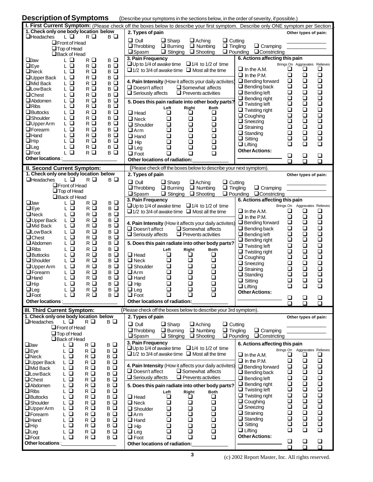| <b>Description of Symptoms</b>                            |                                         |            |            |                                                                  |                 |                            |                 | (Describe your symptoms in the sections below, in the order of severity, if possible.)                                            |                    |                               |                                                   |
|-----------------------------------------------------------|-----------------------------------------|------------|------------|------------------------------------------------------------------|-----------------|----------------------------|-----------------|-----------------------------------------------------------------------------------------------------------------------------------|--------------------|-------------------------------|---------------------------------------------------|
|                                                           |                                         |            |            |                                                                  |                 |                            |                 | I. First Current Symptom: (Please check off the boxes below to describe your first symptom. Describe only ONE symptom per Section |                    |                               |                                                   |
| 1. Check only one body location below                     |                                         |            |            | 2. Types of pain                                                 |                 |                            |                 |                                                                                                                                   |                    | Other types of pain:          |                                                   |
| <b>H</b> eadaches                                         | L □                                     | R Q        | вΩ         | $\Box$ Dull                                                      | $\Box$ Sharp    |                            | $\Box$ Cutting  |                                                                                                                                   |                    |                               |                                                   |
|                                                           | $\Box$ Front of Head                    |            |            | $\Box$ Throbbing                                                 | $\Box$ Burning  | $\Box$ Aching              | $\Box$ Tingling | $\Box$ Cramping                                                                                                                   |                    |                               |                                                   |
|                                                           | $\Box$ Top of Head                      |            |            |                                                                  |                 | $\Box$ Numbing             |                 |                                                                                                                                   |                    |                               |                                                   |
|                                                           | $\Box$ Back of Head                     |            |            | $\square$ Spasm                                                  | $\Box$ Stinging | $\Box$ Shooting            |                 | $\Box$ Pounding<br>$\Box$ Constricting                                                                                            |                    |                               |                                                   |
| $\Box$ law                                                | LО                                      | R □        | $B$ $\Box$ | 3. Pain Frequency                                                |                 |                            |                 | 6. Actions affecting this pain                                                                                                    |                    |                               |                                                   |
| $\Box$ Eye                                                | $L$ $\Box$                              | $R$ $\Box$ | $B$ $\Box$ | $\Box$ Up to 1/4 of awake time $\Box$ 1/4 to 1/2 of time         |                 |                            |                 |                                                                                                                                   |                    | Brings On Aggravates Relieves |                                                   |
| $\Box$ Neck                                               | $L$ $\Box$                              | R Q        | в□         | $\Box$ 1/2 to 3/4 of awake time $\Box$ Most all the time         |                 |                            |                 | $\Box$ In the A.M.                                                                                                                | ❏<br>$\Box$        | ❏<br>$\Box$                   | ❏<br>$\Box$                                       |
| <b>O</b> Upper Back                                       | $L$ $\Box$                              | $R$ $\Box$ | $B$ $\Box$ |                                                                  |                 |                            |                 | $\Box$ In the P.M.                                                                                                                |                    |                               |                                                   |
| Mid Back                                                  | $\Box$<br>L                             | $R$ $\Box$ | $B$ $\Box$ | 4. Pain Intensity (How it affects your daily activites)          |                 |                            |                 | $\Box$ Bending forward                                                                                                            | $\Box$<br>ō        |                               | $\begin{array}{c} \square \\ \square \end{array}$ |
| <b>Low Back</b>                                           | $\Box$<br>L                             | $R$ $\Box$ | $B$ $\Box$ | $\Box$ Doesn't affect                                            |                 | $\Box$ Somewhat affects    |                 | $\Box$ Bending back                                                                                                               | $\Box$             | 00000000000                   | $\Box$                                            |
| $\Box$ Chest                                              | $L$ $\Box$                              | $R$ $\Box$ | $B$ $\Box$ | $\Box$ Seriously affects                                         |                 | $\Box$ Prevents activities |                 | $\Box$ Bending left                                                                                                               |                    |                               |                                                   |
| <b>Abdomen</b>                                            | $\Box$<br>L                             | $R$ $\Box$ | $B$ $\Box$ | 5. Does this pain radiate into other body parts?                 |                 |                            |                 | $\Box$ Bending right<br>$\Box$ Twisting left                                                                                      | $\Box$             |                               | $\begin{array}{c} \square \\ \square \end{array}$ |
| $\Box$ Ribs                                               | $\Box$<br>L                             | $R$ $Q$    | $B$ $\Box$ |                                                                  | Left            | Right                      | <b>Both</b>     | $\Box$ Twisting right                                                                                                             | $\Box$             |                               | $\Box$                                            |
| $\Box$ Buttocks                                           | $L$ $\Box$                              | $R$ $\Box$ | $B$ $\Box$ | $\Box$ Head                                                      | ❏               | ❏                          | ❏               | $\Box$ Coughing                                                                                                                   |                    |                               | $\Box$                                            |
| <b>Shoulder</b>                                           | $L$ $\Box$                              | $R$ $\Box$ | $B$ $\Box$ | $\Box$ Neck                                                      | $\Box$          | $\Box$                     | $\Box$          | $\Box$ Sneezing                                                                                                                   | $\Box$             |                               | ō                                                 |
| $\Box$ Upper Arm                                          | $L$ $\Box$                              | $R$ $\Box$ | $B$ $\Box$ | $\Box$ Shoulder                                                  | $\Box$          | $\Box$                     | $\Box$          | $\Box$ Straining                                                                                                                  | $\Box$             |                               | ō                                                 |
| <b>O</b> Forearm                                          | $L$ $\Box$                              | $R$ $Q$    | $B$ $\Box$ | $\Box$ Arm                                                       | $\Box$          | $\Box$                     | ō               | $\Box$ Standing                                                                                                                   |                    |                               |                                                   |
| $\Box$ Hand                                               | $\Box$<br>L                             | $R$ $\Box$ | в□         | $\Box$ Hand                                                      | $\Box$          | $\Box$                     | $\Box$          | $\Box$ Sitting                                                                                                                    | $\overline{a}$     |                               | $\bar{a}$                                         |
| $\Box$ Hip                                                | $\Box$<br>L.                            | R Q        | в□         | $\Box$ Hip                                                       | $\Box$          | $\Box$                     | $\Box$          | $\Box$ Lifting                                                                                                                    | $\Box$             | $\Box$                        | $\Box$                                            |
| $\Box$ Leg                                                | $\Box$<br>L                             | $R$ $\Box$ | $B$ $\Box$ | $\Box$ Leg                                                       | $\Box$          | ō                          |                 | <b>Other Actions:</b>                                                                                                             |                    |                               |                                                   |
| $\Box$ Foot                                               | $\Box$<br>L                             | $R$ $Q$    | в□         | $\Box$ Foot                                                      | $\Box$          | $\Box$                     | ō               |                                                                                                                                   | $\Box$             | $\Box$                        | $\Box$                                            |
| Other locations:                                          |                                         |            |            | Other locations of radiation:                                    |                 |                            |                 |                                                                                                                                   | ∩                  | ⊓                             | n                                                 |
|                                                           |                                         |            |            |                                                                  |                 |                            |                 |                                                                                                                                   |                    |                               |                                                   |
| <b>II. Second Current Symptom:</b>                        |                                         |            |            |                                                                  |                 |                            |                 | (Please check off the boxes below to describe your next symptom).                                                                 |                    |                               |                                                   |
| 1. Check only one body location below<br><b>Headaches</b> | LО                                      | R Q        | вΩ         | 2. Types of pain                                                 |                 |                            |                 |                                                                                                                                   |                    | Other types of pain:          |                                                   |
|                                                           | $\Box$ Front of Head                    |            |            | $\Box$ Dull                                                      | $\Box$ Sharp    | $\Box$ Aching              | $\Box$ Cutting  |                                                                                                                                   |                    |                               |                                                   |
|                                                           | $\Box$ Top of Head                      |            |            | $\Box$ Throbbing                                                 | $\Box$ Burning  | $\Box$ Numbing             | $\Box$ Tingling | $\Box$ Cramping                                                                                                                   |                    |                               |                                                   |
|                                                           | Back of Head                            |            |            | $\square$ Spasm                                                  | $\Box$ Stinging | $\Box$ Shooting            |                 | $\Box$ Pounding<br>$\Box$ Constricting                                                                                            |                    |                               |                                                   |
| $\Box$ Jaw                                                | LО                                      | $R$ $Q$    | $B$ $\Box$ | 3. Pain Frequency                                                |                 |                            |                 | 6. Actions affecting this pain                                                                                                    |                    |                               |                                                   |
| $\Box$ Eye                                                | LО                                      | $R$ $Q$    | $B$ $\Box$ | $\Box$ Up to 1/4 of awake time $\Box$ 1/4 to 1/2 of time         |                 |                            |                 |                                                                                                                                   |                    | Brings On Aggravates Relieves |                                                   |
| $\Box$ Neck                                               | $L$ $\Box$                              | $R$ $Q$    | $B$ $\Box$ | $\Box$ 1/2 to 3/4 of awake time $\Box$ Most all the time         |                 |                            |                 | $\Box$ In the A.M.                                                                                                                | ❏                  | ❏                             | ❏                                                 |
| $\Box$ Upper Back                                         | $L$ $\Box$                              | $R$ $\Box$ | $B$ $\Box$ |                                                                  |                 |                            |                 | $\Box$ In the P.M.                                                                                                                | $\Box$             |                               | $\begin{array}{c} \square \\ \square \end{array}$ |
| Mid Back                                                  | $\mathsf{L}\ \mathsf{\underline{\Box}}$ | $R$ $\Box$ | $B$ $\Box$ | 4. Pain Intensity (How it affects your daily activites)          |                 |                            |                 | $\Box$ Bending forward                                                                                                            | $\Box$             |                               |                                                   |
| <b>QLow Back</b>                                          | LД                                      | $R$ $Q$    | $B$ $\Box$ | $\Box$ Doesn't affect                                            |                 | $\Box$ Somewhat affects    |                 | $\Box$ Bending back                                                                                                               | $\Box$             | 00000                         | ō                                                 |
| $\Box$ Chest                                              | LО                                      | $R$ $\Box$ | $B$ $\Box$ | $\Box$ Seriously affects                                         |                 | $\Box$ Prevents activities |                 | $\Box$ Bending left                                                                                                               | $\Box$             |                               | $\Box$                                            |
| <b>Abdomen</b>                                            | $L$ $\Box$                              | $R$ $\Box$ | $B$ $\Box$ | 5. Does this pain radiate into other body parts?                 |                 |                            |                 | $\Box$ Bending right                                                                                                              | ō                  |                               | ō                                                 |
| $\Box$ Ribs                                               | $L$ $\Box$                              | $R$ $\Box$ | $B$ $\Box$ |                                                                  | Left            | Right                      | <b>Both</b>     | $\Box$ Twisting left                                                                                                              | $\Box$             | 0000                          | $\Box$                                            |
| $\Box$ Buttocks                                           | $L$ $\Box$                              | $R$ $\Box$ | $B$ $\Box$ | $\Box$ Head                                                      | ❏               | u                          | ❏               | $\Box$ Twisting right                                                                                                             | $\Box$             |                               | $\begin{array}{c} \square \\ \square \end{array}$ |
| <b>Shoulder</b>                                           | $L$ $\Box$                              | $R$ $\Box$ | $B$ $\Box$ | $\square$ Neck                                                   | $\Box$          | $\Box$                     | $\Box$          | $\Box$ Coughing                                                                                                                   |                    |                               |                                                   |
| <b>QUpperArm</b>                                          | $L$ $\Box$                              | $R$ $\Box$ | $B$ $\Box$ | $\Box$ Shoulder                                                  | $\Box$          | $\Box$                     | $\Box$          | $\Box$ Sneezing                                                                                                                   | $\Box$             |                               | ō                                                 |
| <b>OF</b> orearm                                          | $L$ $\Box$                              | $R$ $\Box$ | вQ         | $\Box$ Arm                                                       | $\Box$          | $\Box$                     | $\Box$          | $\Box$ Straining                                                                                                                  | $\Box$             | 0<br>0<br>0                   | $\Box$                                            |
| $\Box$ Hand                                               | $L$ $\Box$                              | R Q        | $B$ $\Box$ | $\Box$ Hand                                                      | $\Box$          | $\Box$                     | $\Box$          | $\Box$ Standing                                                                                                                   |                    |                               | ō                                                 |
| $\Box$ Hip                                                | $L$ $\Box$                              | $R$ $\Box$ | $B$ $\Box$ | $\Box$ Hip                                                       | $\Box$          | $\Box$                     | $\Box$          | $\Box$ Sitting                                                                                                                    | $\Box$             |                               | $\Box$                                            |
| Lleg                                                      | ∟ ⊔                                     | R □        | B ⊔        | $\Box$ Leg                                                       | $\Box$          | ❏                          |                 | $\Box$ Lifting                                                                                                                    | $\Box$             | $\Box$                        | $\Box$                                            |
| $\Box$ Foot                                               | $L$ $\Box$                              | $R$ $\Box$ | вQ         | $\Box$ Foot                                                      | ◻               | $\Box$                     | $\Box$          | <b>Other Actions:</b>                                                                                                             |                    |                               |                                                   |
| Other locations:                                          |                                         |            |            | Other locations of radiation:                                    |                 |                            |                 |                                                                                                                                   | ❏<br>⊓             | ❏<br>⊓                        | ❏<br>◻                                            |
| III. Third Current Symptom:                               |                                         |            |            | (Please check off the boxes below to describe your 3rd symptom). |                 |                            |                 |                                                                                                                                   |                    |                               |                                                   |
| 1. Check only one body location below                     |                                         |            |            |                                                                  |                 |                            |                 |                                                                                                                                   |                    |                               |                                                   |
| <b>H</b> eadaches                                         | ப                                       | R Q        | вQ         | 2. Types of pain                                                 |                 |                            |                 |                                                                                                                                   |                    | Other types of pain:          |                                                   |
|                                                           | $\Box$ Front of Head                    |            |            | $\Box$ Dull                                                      | $\Box$ Sharp    | $\Box$ Aching              | $\Box$ Cutting  |                                                                                                                                   |                    |                               |                                                   |
|                                                           | $\Box$ Top of Head                      |            |            | $\Box$ Throbbing                                                 | $\Box$ Burning  | $\Box$ Numbing             | $\Box$ Tingling | $\Box$ Cramping                                                                                                                   |                    |                               |                                                   |
|                                                           | $\Box$ Back of Head                     |            |            | $\square$ Spasm                                                  | $\Box$ Stinging | $\Box$ Shooting            |                 | $\Box$ Pounding<br>$\Box$ Constricting                                                                                            |                    |                               |                                                   |
| <b>Q</b> Jaw                                              | LО                                      | R□         | $B$ $\Box$ | 3. Pain Frequency                                                |                 |                            |                 | 6. Actions affecting this pain                                                                                                    |                    |                               |                                                   |
| $\Box$ Eye                                                | $L$ $\Box$                              | $R$ $\Box$ | $B$ $\Box$ | $\Box$ Up to 1/4 of awake time $\Box$ 1/4 to 1/2 of time         |                 |                            |                 |                                                                                                                                   |                    | Brings On Aggravates Relieves |                                                   |
| $\Box$ Neck                                               | $L$ $\Box$                              | $R$ $\Box$ | $B$ $\Box$ | $\Box$ 1/2 to 3/4 of awake time $\Box$ Most all the time         |                 |                            |                 | $\Box$ In the A.M.                                                                                                                | ❏                  | o                             | ❏                                                 |
| $\Box$ Upper Back                                         | LО                                      | $R$ $\Box$ | $B$ $\Box$ |                                                                  |                 |                            |                 | $\Box$ In the P.M.                                                                                                                | $\Box$             | $\Box$                        | $\Box$                                            |
| Mid Back                                                  | LО                                      | $R$ $\Box$ | $B$ $\Box$ | 4. Pain Intensity (How it affects your daily activites)          |                 |                            |                 | $\Box$ Bending forward                                                                                                            | $\Box$             | $\Box$                        | $\Box$                                            |
| <b>QLow Back</b>                                          | LД                                      | $R$ $\Box$ | $B$ $\Box$ | $\Box$ Doesn't affect                                            |                 | $\Box$ Somewhat affects    |                 | $\Box$ Bending back                                                                                                               | $\Box$             |                               | ō                                                 |
| <b>Q</b> Chest                                            | $L$ $\Box$                              | $R$ $\Box$ | $B$ $\Box$ | $\Box$ Seriously affects                                         |                 | $\Box$ Prevents activities |                 | $\Box$ Bending left                                                                                                               | $\Box$             | $\Box$                        | $\square$                                         |
| $\Box$ Abdomen                                            | $L$ $\Box$                              | R Q        | $B$ $\Box$ | 5. Does this pain radiate into other body parts?                 |                 |                            |                 | $\Box$ Bending right                                                                                                              | $\Xi$              |                               | $\begin{array}{c} \square \\ \square \end{array}$ |
|                                                           |                                         | $R$ $\Box$ | $B$ $\Box$ |                                                                  | Left            | Right                      | <b>Both</b>     | $\Box$ Twisting left                                                                                                              |                    |                               |                                                   |
| $\Box$ Ribs                                               | LО                                      |            |            | $\Box$ Head                                                      | ❏               | ❏                          | ❏               | $\Box$ Twisting right                                                                                                             | $\Box$             |                               | $\Box$                                            |
| $\Box$ Buttocks                                           | $L$ $\Box$                              | $R$ $\Box$ | $B$ $\Box$ |                                                                  |                 |                            |                 |                                                                                                                                   |                    |                               |                                                   |
| $\square$ Shoulder                                        | LО                                      | $R$ $Q$    | $B$ $\Box$ | $\Box$ Neck                                                      | $\Box$          | $\Box$                     | ❏               | $\Box$ Coughing                                                                                                                   |                    |                               |                                                   |
| $\Box$ Upper Arm                                          | $L$ $\Box$                              | R Q        | $B$ $\Box$ | $\Box$ Shoulder                                                  | $\Box$          |                            | $\Box$          | $\Box$ Sneezing                                                                                                                   | $\bar{\mathsf{B}}$ | 0000                          | $\Box$                                            |
| $\Box$ Forearm                                            | ĿО                                      | $R$ $\Box$ | $B$ $\Box$ | $\Box$ Arm                                                       | $\Box$          | $\overline{a}$             | $\Box$          | $\Box$ Straining                                                                                                                  | $\Box$             | $\bar{\mathsf{q}}$            | $\Box$                                            |
| $\Box$ Hand                                               | LО                                      | $R$ $\Box$ | $B$ $\Box$ | $\Box$ Hand                                                      | $\Box$          | $\Box$                     | $\Box$          | $\Box$ Standing                                                                                                                   | $\Box$             | $\Box$                        | $\Box$                                            |
| $\Box$ Hip                                                | LО                                      | $R$ $\Box$ | $B$ $\Box$ | $\Box$ Hip                                                       | $\Box$          | $\Box$                     | $\Box$          | $\Box$ Sitting                                                                                                                    | $\Box$             | $\Box$                        | $\Box$                                            |
| $\Box$ Leg                                                | LО                                      | R □        | вQ         | $\Box$ Leg                                                       | ❏               | $\Box$                     | $\Box$          | $\Box$ Lifting                                                                                                                    | $\Box$             | $\Box$                        | $\Box$                                            |
| $\Box$ Foot                                               | LО                                      | $R$ $Q$    | $B$ $\Box$ | $\Box$ Foot                                                      | $\Box$          | $\Box$                     | $\Box$          | <b>Other Actions:</b>                                                                                                             |                    |                               |                                                   |
| Other locations:                                          |                                         |            |            | Other locations of radiation:                                    |                 |                            |                 |                                                                                                                                   | $\Box$<br>⊓        | $\Box$<br>$\Box$              | $\Box$<br>◻                                       |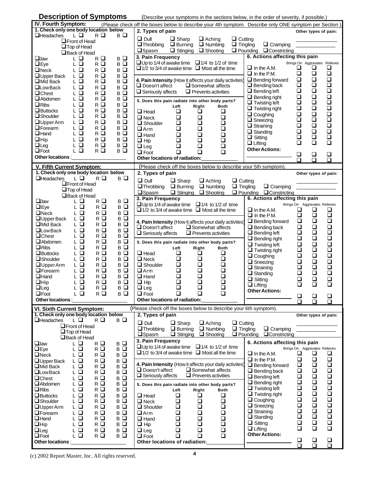| <b>Description of Symptoms</b>                                  |                                             | (Describe your symptoms in the sections below, in the order of severity, if possible.)                  |                                                   |
|-----------------------------------------------------------------|---------------------------------------------|---------------------------------------------------------------------------------------------------------|---------------------------------------------------|
| IV. Fourth Symptom:                                             |                                             | (Please check off the boxes below to describe your 4th symptom. Describe only ONE symptom per Section). |                                                   |
| 1. Check only one body location below                           |                                             | 2. Types of pain                                                                                        | Other types of pain:                              |
| $\Box$ Headaches<br>ĿП                                          | $R$ $\Box$<br>вΩ                            | $\Box$ Dull<br>$\Box$ Sharp<br>$\Box$ Cutting<br>$\Box$ Aching                                          |                                                   |
| $\Box$ Front of Head                                            |                                             | $\Box$ Cramping<br>$\Box$ Throbbing $\Box$ Burning<br>$\Box$ Tingling<br>$\Box$ Numbing                 |                                                   |
| $\Box$ Top of Head                                              |                                             | $\Box$ Pounding $\Box$ Constricting<br>$\square$ Spasm<br>$\Box$ Stinging<br>$\Box$ Shooting            |                                                   |
| Back of Head                                                    |                                             | 6. Actions affecting this pain<br>3. Pain Frequency                                                     |                                                   |
| <b>Q</b> Jaw<br>LО<br>$L$ $\Box$<br>$\Box$ Eye                  | $R$ $\Box$<br>$B$ $\Box$<br>$R$ $Q$<br>вQ   | $\Box$ Up to 1/4 of awake time $\Box$ 1/4 to 1/2 of time                                                | Brings On Aggravates<br>Relieves                  |
| $L$ $\Box$<br>$\Box$ Neck                                       | $R$ $Q$<br>$B$ $\Box$                       | $\Box$ In the A.M.<br>$\Box$ 1/2 to 3/4 of awake time $\Box$ Most all the time                          | ❏<br>❏<br>❏                                       |
| $L$ $\Box$<br>$\Box$ Upper Back                                 | $B$ $\Box$<br>$R$ $\Box$                    | $\Box$ In the P.M.                                                                                      | $\Box$<br>$\Box$<br>$\Box$                        |
| $L$ $\Box$<br>□ Mid Back                                        | $R$ $Q$<br>вQ                               | $\Box$ Bending forward<br>4. Pain Intensity (How it affects your daily activites)                       | $\Box$<br>$\Box$<br>$\Box$                        |
| $L$ $\Box$<br><b>QLowBack</b>                                   | $B$ $\Box$<br>$R$ $\Box$                    | $\Box$ Bending back<br>$\Box$ Somewhat affects<br><b>□</b> Doesn't affect                               | ō<br>ō<br>$\Box$                                  |
| $\Box$<br>L.<br>$\Box$ Chest                                    | $B$ $\Box$<br>$R$ $\Box$                    | $\Box$ Bending left<br>$\Box$ Prevents activities<br>$\Box$ Seriously affects                           | 000000<br>$\Box$<br>$\Box$                        |
| LО<br><b>Abdomen</b>                                            | $R$ $Q$<br>$B$ $\Box$                       | $\Box$ Bending right<br>5. Does this pain radiate into other body parts?                                | <b>DODD</b><br>$\bar{\mathsf{B}}$                 |
| $\Box$<br>$\Box$ Ribs<br>L.                                     | $B$ $\Box$<br>$R$ $Q$                       | $\Box$ Twisting left<br>Left<br>Right<br><b>Both</b>                                                    |                                                   |
| $L$ $\Box$<br>$\square$ Buttocks                                | $B$ $\Box$<br>$R$ $Q$                       | $\Box$ Twisting right<br>$\Box$ Head<br>$\Box$<br>❏<br>$\Box$<br>$\Box$ Coughing                        | $\begin{array}{c} \square \\ \square \end{array}$ |
| $L$ $\Box$<br><b>Shoulder</b>                                   | $R$ $\Box$<br>$B$ $\Box$                    | $\Box$<br>$\Box$<br>$\Box$ Neck<br>□<br>$\Box$ Sneezing                                                 | ō<br>ā                                            |
| $L$ $\Box$<br><b>OUpperArm</b>                                  | $R$ $Q$<br>$B$ $\Box$                       | $\Box$<br>$\Box$<br>$\Box$<br>$\Box$ Shoulder<br>$\Box$ Straining                                       | $\bar{\Box}$<br>$\Box$                            |
| $L$ $\Box$<br><b>OF</b> orearm                                  | $R$ $Q$<br>$B$ $\Box$                       | $\Box$<br>$\Box$<br>$\Box$<br>$\Box$ Arm<br>$\Box$ Standing                                             | 0<br>0<br>0<br>$\Box$                             |
| $L$ $\Box$<br>$\Box$ Hand                                       | $B$ $\Box$<br>$R$ $\Box$                    | $\Box$<br>$\Box$<br>$\Box$<br>$\Box$ Hand<br>$\Box$ Sitting                                             | $\bar{a}$<br>$\Box$                               |
| LО<br>$\Box$ Hip                                                | $R$ $\Box$<br>$B$ $\Box$                    | $\Box$<br>$\Box$<br>$\Box$<br>$\Box$ Hip<br>$\Box$ Lifting                                              | $\Box$<br>$\Box$<br>$\Box$                        |
| $\Box$<br>L.<br>$\Box$ Leg<br>ō<br>L.<br>$\square$ Foot         | $R$ $\Box$<br>$B$ $\Box$<br>$R$ $Q$<br>в□   | $\Box$<br>$\Box$<br>$\Box$<br>$\Box$ Leg<br><b>Other Actions:</b>                                       |                                                   |
| Other locations:                                                |                                             | $\Box$<br>$\Box$<br>$\Box$<br>$\Box$ Foot                                                               | $\Box$<br>$\Box$<br>❏                             |
|                                                                 |                                             | <b>Other locations of radiation:</b>                                                                    | $\Box$<br>⊓<br>⊓                                  |
| V. Fifth Current Symptom:                                       |                                             | (Please check off the boxes below to describe your 5th symptom).                                        |                                                   |
| 1. Check only one body location below                           |                                             | 2. Types of pain                                                                                        | Other types of pain:                              |
| L Q<br><b>Headaches</b>                                         | вΩ<br>R O                                   | $\Box$ Dull<br>$\Box$ Sharp<br>$\Box$ Cutting<br>$\Box$ Aching                                          |                                                   |
| $\Box$ Front of Head                                            |                                             | $\Box$ Throbbing<br>$\Box$ Burning<br>$\Box$ Numbing<br>$\Box$ Tingling<br>$\Box$ Cramping              |                                                   |
| $\Box$ Top of Head                                              |                                             | $\square$ Spasm<br>$\Box$ Pounding $\Box$ Constricting<br>$\Box$ Stinging<br>$\Box$ Shooting            |                                                   |
| Back of Head<br>$\Box$ Jaw                                      | в□                                          | 6. Actions affecting this pain<br>3. Pain Frequency                                                     |                                                   |
| LО<br>LО<br>$\Box$ Eye                                          | R □<br>$R$ $Q$<br>вQ                        | $\Box$ Up to 1/4 of awake time $\Box$ 1/4 to 1/2 of time                                                | Brings On Aggravates Relieves                     |
| $L$ $\Box$<br>$\Box$ Neck                                       | $B$ $\Box$<br>$R$ $\Box$                    | $\Box$ 1/2 to 3/4 of awake time $\Box$ Most all the time<br>$\Box$ In the A.M.                          | ❏<br>❏<br>❏                                       |
| L Q<br>$\Box$ Upper Back                                        | $R$ $\Box$<br>$B$ $\Box$                    | $\Box$ In the P.M.                                                                                      | $\Box$<br>$\Box$<br>$\Box$                        |
| $L$ $\Box$<br>□ Mid Back                                        | $R$ $\Box$<br>$B$ $\Box$                    | $\Box$ Bending forward<br>4. Pain Intensity (How it affects your daily activites)                       | $\Box$<br>$\Box$                                  |
| LО<br><b>QLowBack</b>                                           | $R$ $\Box$<br>$B$ $\Box$                    | $\Box$ Bending back<br>$\Box$ Doesn't affect<br>$\Box$ Somewhat affects                                 | 0000<br>$\Box$<br>$\Box$                          |
| LО<br><b>Q</b> Chest                                            | вQ<br>R □                                   | $\Box$ Bending left<br>$\Box$ Prevents activities<br>$\Box$ Seriously affects                           | $\Box$<br>$\Box$<br>$\Box$                        |
| LО<br><b>Abdomen</b>                                            | $R$ $Q$<br>$B$ $\Box$                       | $\Box$ Bending right<br>5. Does this pain radiate into other body parts?                                |                                                   |
| LО<br>$\Box$ Ribs                                               | $B$ $\Box$<br>$R$ $\Box$                    | $\Box$ Twisting left<br>Right<br><b>Both</b><br>Left<br>$\Box$ Twisting right                           |                                                   |
| LО<br>$\Box$ Buttocks                                           | $R$ $\Box$<br>в□                            | $\Box$ Head<br>$\Box$<br>❏<br>O<br>$\Box$ Coughing                                                      | 0000000<br>0000000<br>0<br>0<br>0                 |
| $L$ $\Box$<br>$\square$ Shoulder                                | $R$ $\Box$<br>в□                            | $\Box$<br>$\Box$<br>❏<br>$\Box$ Neck<br>$\Box$ Sneezing                                                 |                                                   |
| LО<br><b>QUpperArm</b>                                          | $R$ $\Box$<br>в□                            | $\Box$<br>$\Box$<br>$\Box$<br>$\Box$ Shoulder<br>$\Box$ Straining                                       | ā                                                 |
| $L$ $\Box$<br>$\Box$ Forearm                                    | $B$ $\Box$<br>R□                            | $\Box$<br>❏<br>❏<br>$\Box$ Arm<br>$\Box$ Standing                                                       | $\bar{\mathsf{q}}$                                |
| LО<br>$\Box$ Hand                                               | $R$ $Q$<br>$B$ $\Box$                       | $\Box$<br>$\Box$<br>$\Box$<br>$\Box$ Hand<br>$\Box$ Sitting<br>$\Box$                                   |                                                   |
| $L$ $\Box$<br>$\Box$ Hip                                        | $R$ $Q$<br>$B$ $\Box$<br>$\mathsf B$ $\Box$ | $\Box$<br>$\Box$<br>$\Box$ Hip<br>$\Box$ Lifting<br>$\Box$<br>$\Box$ Leg                                | $\Box$<br>$\Box$                                  |
| ĿД<br>Lleg<br>LО<br>$\Box$ Foot                                 | $R$ $\Box$<br>R Q<br>вQ                     | <b>Other Actions:</b><br>$\Box$<br>$\Box$<br>$\Box$<br>$\Box$ Foot                                      |                                                   |
| Other locations:                                                |                                             | Other locations of radiation:                                                                           | <u>日</u><br>$\Box$<br><u>日</u>                    |
|                                                                 |                                             |                                                                                                         | $\Box$                                            |
| VI. Sixth Current Symptom:                                      |                                             | (Please check off the boxes below to describe your 6th symptom).                                        |                                                   |
| 1. Check only one body location below<br>$\Box$ Headaches<br>ĿП | R Q<br>вQ                                   | 2. Types of pain                                                                                        | Other types of pain:                              |
| $\Box$ Front of Head                                            |                                             | $\Box$ Dull<br>$\Box$ Sharp<br>$\Box$ Aching<br>$\Box$ Cutting                                          |                                                   |
| $\Box$ Top of Head                                              |                                             | $\Box$ Throbbing<br>$\Box$ Burning<br>$\Box$ Numbing<br>$\Box$ Tingling<br>$\Box$ Cramping              |                                                   |
| Back of Head                                                    |                                             | <b>Spasm</b><br>$\Box$ Shooting<br>$\Box$ Pounding<br>$\Box$ Constricting<br>$\Box$ Stinging            |                                                   |
| $\square$ Jaw<br>$L$ $\Box$                                     | R □<br>$B$ $\Box$                           | 3. Pain Frequency<br>6. Actions affecting this pain                                                     |                                                   |
| $L$ $\Box$<br>$\Box$ Eye                                        | R □<br>в□                                   | $\Box$ Up to 1/4 of awake time $\Box$ 1/4 to 1/2 of time                                                | Brings On Aggravates Relieves                     |
| $L$ $\Box$<br>$\Box$ Neck                                       | $B$ $\Box$<br>$R$ $\Box$                    | $\Box$ 1/2 to 3/4 of awake time $\Box$ Most all the time<br>$\Box$ In the A.M.                          | $\Box$<br>$\Box$<br>$\Box$                        |
| $L$ $\Box$<br>$\Box$ Upper Back                                 | $R$ $\Box$<br>$B$ $\Box$                    | $\Box$ In the P.M.<br>4. Pain Intensity (How it affects your daily activites)                           | $\Box$<br>$\Box$<br>$\Box$                        |
| $L$ $\Box$<br>$R$ $\Box$<br>Mid Back                            | $B$ $\Box$                                  | $\Box$ Bending forward<br>$\Box$ Doesn't affect<br>$\Box$ Somewhat affects                              | $\Box$<br>$\Box$<br>$\Box$<br>$\Box$<br>$\Box$    |
| ĿП<br><b>QLow Back</b>                                          |                                             | $\Box$ Bending back<br>$\Box$ Seriously affects<br>$\Box$ Prevents activities                           |                                                   |
|                                                                 | $B$ $\Box$<br>R □                           |                                                                                                         |                                                   |
| $L$ $\Box$<br>$\Box$ Chest                                      | $R$ $\Box$<br>$B$ $\Box$                    | $\Box$ Bending left                                                                                     | $\Box$                                            |
| $L$ $\Box$<br>Abdomen                                           | $B$ $\Box$<br>R □                           | $\Box$ Bending right<br>5. Does this pain radiate into other body parts?                                | $\overline{a}$                                    |
| $L$ $\Box$<br>$\Box$ Ribs                                       | $B$ $\Box$<br>R □                           | $\Box$ Twisting left<br><b>Both</b><br>Left<br>Right                                                    | $\bar{\mathsf{q}}$<br>$\Box$                      |
| $L$ $\Box$<br>$\Box$ Buttocks                                   | $R$ $\Box$<br>$B$ $\Box$                    | $\Box$ Twisting right<br>❏<br>$\Box$<br>$\Box$<br>$\Box$ Head                                           |                                                   |
| ĿП<br><b>Shoulder</b>                                           | $B$ $\Box$<br>R □                           | $\Box$ Coughing<br>$\Box$<br>❏<br>$\Box$<br>$\Box$ Neck<br>$\Box$ Sneezing                              | $\bar{a}$<br>$\overline{a}$<br>$\Box$             |
| $L$ $\Box$<br>$\Box$ Upper Arm                                  | $R$ $\Box$<br>$B$ $\Box$                    | $\Box$<br>$\Box$<br>$\Box$<br>$\Box$ Shoulder<br>$\Box$ Straining                                       | $\Box$                                            |
| $L$ $\Box$<br><b>OForearm</b><br>$\Box$ Hand                    | $B$ $\Box$<br>R □                           | $\Box$<br>$\Box$<br>$\Box$<br>$\Box$ Arm<br>$\Box$ Standing<br>$\Box$                                   | 0<br>0<br>0<br>ō                                  |
| $L$ $\Box$                                                      | R □<br>в□<br>R Q<br>в□                      | $\Box$<br>$\Box$<br>$\Box$ Hand<br>$\Box$ Sitting<br>$\Box$<br>$\Box$<br>$\Box$                         | $\Box$<br>$\Box$                                  |
| $\Box$ Hip<br>ĿП<br>$L$ $\Box$<br>$\Box$ Leg                    | $R$ $\Box$<br>$B$ $\Box$                    | $\Box$ Hip<br>$\Box$ Lifting<br>$\Box$<br>$\Box$<br>$\Box$<br>$\Box$ Leg                                | 00000000000<br>$\Box$<br>$\Box$                   |
| $L$ $\Box$<br>$\Box$ Foot                                       | $R$ $\Box$<br>вΩ                            | <b>Other Actions:</b><br>$\Box$<br>$\Box$<br>$\Box$<br>$\Box$ Foot                                      |                                                   |
| Other locations:                                                |                                             | Other locations of radiation:                                                                           | $\Box$<br>$\Box$<br>$\Box$<br>$\Box$<br>◻<br>□    |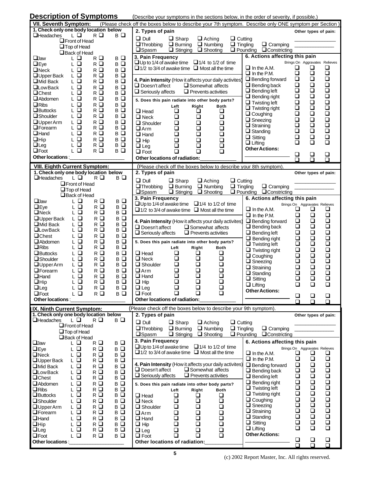| <b>Description of Symptoms</b>        |                                            |                   |                          |                                                                  |                  |                                                       |                  |                 | (Describe your symptoms in the sections below, in the order of severity, if possible.)                 |                                                   |                                                             |                               |
|---------------------------------------|--------------------------------------------|-------------------|--------------------------|------------------------------------------------------------------|------------------|-------------------------------------------------------|------------------|-----------------|--------------------------------------------------------------------------------------------------------|---------------------------------------------------|-------------------------------------------------------------|-------------------------------|
| <b>VII. Seventh Symptom:</b>          |                                            |                   |                          |                                                                  |                  |                                                       |                  |                 | (Please check off the boxes below to describe your 7th symptom. Describe only ONE symptom per Section) |                                                   |                                                             |                               |
| 1. Check only one body location below |                                            |                   |                          | 2. Types of pain                                                 |                  |                                                       |                  |                 |                                                                                                        |                                                   |                                                             | Other types of pain:          |
| $\Box$ Headaches                      | ĿП                                         | $R$ $\Box$        | вО                       | $\Box$ Dull                                                      | $\Box$ Sharp     | $\Box$ Aching                                         |                  | $\Box$ Cutting  |                                                                                                        |                                                   |                                                             |                               |
|                                       | $\Box$ Front of Head                       |                   |                          | $\Box$ Throbbing                                                 | $\Box$ Burning   | $\Box$ Numbing                                        |                  | $\Box$ Tingling | $\Box$ Cramping                                                                                        |                                                   |                                                             |                               |
|                                       | $\Box$ Top of Head                         |                   |                          | $\square$ Spasm                                                  | $\Box$ Stinging  | $\Box$ Shooting                                       |                  |                 | $\Box$ Pounding $\Box$ Constricting                                                                    |                                                   |                                                             |                               |
|                                       | $\Box$ Back of Head                        |                   |                          | 3. Pain Frequency                                                |                  |                                                       |                  |                 | 6. Actions affecting this pain                                                                         |                                                   |                                                             |                               |
| <b>Q</b> Jaw                          | LО                                         | $R$ $\Box$        | в□                       | $\square$ Up to 1/4 of awake time $\square$ 1/4 to 1/2 of time   |                  |                                                       |                  |                 |                                                                                                        |                                                   |                                                             | Brings On Aggravates Relieves |
| $\Box$ Eye                            | $L$ $\Box$                                 | $R$ $Q$           | вQ                       | $\Box$ 1/2 to 3/4 of awake time $\Box$ Most all the time         |                  |                                                       |                  |                 | $\Box$ In the A.M.                                                                                     | ❏                                                 | ❏                                                           | ❏                             |
| $\Box$ Neck                           | $L$ $\Box$                                 | $R$ $\Box$        | в□<br>$B$ $\Box$         |                                                                  |                  |                                                       |                  |                 | $\Box$ In the P.M.                                                                                     | $\Box$                                            | $\Box$                                                      | $\Box$                        |
| $\Box$ Upper Back<br>Mid Back         | LО<br>$L$ $\Box$                           | R □<br>$R$ $Q$    | $B$ $\Box$               | 4. Pain Intensity (How it affects your daily activites)          |                  |                                                       |                  |                 | $\Box$ Bending forward                                                                                 | $\Box$                                            | $\Box$                                                      | $\Box$                        |
| <b>QLowBack</b>                       | $L$ $\Box$                                 | $R$ $Q$           | $B$ $\Box$               | $\Box$ Doesn't affect                                            |                  | $\Box$ Somewhat affects                               |                  |                 | $\Box$ Bending back                                                                                    | $\Box$                                            |                                                             |                               |
| $\Box$ Chest                          | $L$ $\Box$                                 | $R$ $\Box$        | $B$ $\Box$               | $\Box$ Seriously affects                                         |                  | $\Box$ Prevents activities                            |                  |                 | $\Box$ Bending left                                                                                    | $\Box$                                            | $\overline{a}$                                              | <b>DOODOODO</b>               |
| <b>Abdomen</b>                        | $L$ $\Box$                                 | $R$ $\Box$        | $B$ $\Box$               |                                                                  |                  |                                                       |                  |                 | $\Box$ Bending right                                                                                   | $\Box$                                            | $\Box$                                                      |                               |
| $\Box$ Ribs                           | $L$ $\Box$                                 | $R$ $\Box$        | $B$ $\Box$               | 5. Does this pain radiate into other body parts?                 | Left             | Right                                                 | <b>Both</b>      |                 | $\Box$ Twisting left                                                                                   | $\Box$                                            | $\bar{\mathsf{B}}$                                          |                               |
| $\Box$ Buttocks                       | $L$ $\Box$                                 | $R$ $\Box$        | $B$ $\Box$               | $\Box$ Head                                                      | ❏                | ❏                                                     | ❏                |                 | $\Box$ Twisting right                                                                                  | $\Box$                                            |                                                             |                               |
| $\square$ Shoulder                    | $L$ $\Box$                                 | $R$ $\Box$        | $B$ $\Box$               | $\Box$ Neck                                                      | $\Box$           | ❏                                                     | $\Box$           |                 | $\Box$ Coughing                                                                                        | $\Box$                                            |                                                             |                               |
| $\Box$ Upper Arm                      | $L$ $\Box$                                 | $R$ $\Box$        | в□                       | $\Box$ Shoulder                                                  | $\Box$           | □                                                     | $\Box$           |                 | $\Box$ Sneezing                                                                                        | $\Box$                                            | 0<br>0<br>0                                                 |                               |
| <b>O</b> Forearm                      | LО                                         | $R$ $\Box$        | $B$ $\Box$               | $\Box$ Arm                                                       | õ                | $\Box$                                                | $\Box$           |                 | $\Box$ Straining                                                                                       | $\Box$<br>$\Box$                                  | $\Box$                                                      |                               |
| $\Box$ Hand                           | $L$ $\Box$                                 | $R$ $Q$           | вQ                       | $\Box$ Hand                                                      | $\Box$           | $\Box$                                                | $\Box$           | $\Box$ Sitting  | $\Box$ Standing                                                                                        | $\Box$                                            | $\Box$                                                      |                               |
| $\Box$ Hip                            | $L$ $\Box$                                 | $R$ $\Box$        | в□                       | $\Box$ Hip                                                       | $\Box$           | $\Box$                                                | $\Box$           | $\Box$ Lifting  |                                                                                                        | ◻                                                 | $\Box$                                                      | $\bar{a}$                     |
| $\Box$ Leg                            | LО                                         | $R$ $\Box$        | вQ                       | $\Box$ Leg                                                       | ō                | $\Box$                                                | $\Box$           |                 | <b>Other Actions:</b>                                                                                  |                                                   |                                                             |                               |
| $\Box$ Foot                           | $L$ $\Box$                                 | $R$ $Q$           | в□                       | $\Box$ Foot                                                      | $\Box$           | $\Box$                                                | $\Box$           |                 |                                                                                                        | $\Box$                                            | $\Box$                                                      | $\Box$                        |
| Other locations :                     |                                            |                   |                          | Other locations of radiation:                                    |                  |                                                       |                  |                 |                                                                                                        | ⊓                                                 | ⊓                                                           | ⊓                             |
| <b>VIII. Eighth Current Symptom:</b>  |                                            |                   |                          | (Please check off the boxes below to describe your 8th symptom). |                  |                                                       |                  |                 |                                                                                                        |                                                   |                                                             |                               |
| 1. Check only one body location below |                                            |                   |                          | 2. Types of pain                                                 |                  |                                                       |                  |                 |                                                                                                        |                                                   |                                                             | Other types of pain:          |
| <b>Headaches</b>                      | ĿП                                         | R O               | вΩ                       | $\Box$ Dull                                                      | $\Box$ Sharp     | $\Box$ Aching                                         |                  | $\Box$ Cutting  |                                                                                                        |                                                   |                                                             |                               |
|                                       | $\Box$ Front of Head                       |                   |                          | $\Box$ Throbbing                                                 | $\Box$ Burning   | $\Box$ Numbing                                        |                  | $\Box$ Tingling | $\Box$ Cramping                                                                                        |                                                   |                                                             |                               |
|                                       | $\Box$ Top of Head                         |                   |                          | $\square$ Spasm                                                  | $\Box$ Stinging  | $\Box$ Shooting                                       |                  |                 | $\Box$ Pounding $\Box$ Constricting                                                                    |                                                   |                                                             |                               |
|                                       | $\Box$ Back of Head                        |                   |                          | 3. Pain Frequency                                                |                  |                                                       |                  |                 | 6. Actions affecting this pain                                                                         |                                                   |                                                             |                               |
| $\Box$ Jaw                            | LО                                         | R Q               | $B$ $\Box$               | $\Box$ Up to 1/4 of awake time $\Box$ 1/4 to 1/2 of time         |                  |                                                       |                  |                 |                                                                                                        |                                                   | Brings On Aggravates Relieves                               |                               |
| $\Box$ Eye                            | $L$ $\Box$                                 | $R$ $\Box$        | $B$ $\Box$               | $\Box$ 1/2 to 3/4 of awake time $\Box$ Most all the time         |                  |                                                       |                  |                 | $\Box$ In the A.M.                                                                                     | u                                                 | u                                                           | O                             |
| $\Box$ Neck                           | $L$ $\Box$                                 | $R$ $\Box$        | $B$ $\Box$               |                                                                  |                  |                                                       |                  |                 | $\Box$ In the P.M.                                                                                     | ❏                                                 | $\Box$                                                      | $\Box$                        |
| $\Box$ Upper Back                     | $L$ $\Box$                                 | $R$ $Q$           | $B$ $\Box$               | 4. Pain Intensity (How it affects your daily activites)          |                  |                                                       |                  |                 | $\Box$ Bending forward                                                                                 | ❏                                                 | $\Box$                                                      |                               |
| □ Mid Back<br><b>QLow Back</b>        | $L$ $\Box$<br>ĿО                           | $R$ $\Box$<br>R □ | $B$ $\Box$<br>$B$ $\Box$ | $\Box$ Doesn't affect                                            |                  | $\square$ Somewhat affects                            |                  |                 | $\Box$ Bending back                                                                                    | $\Box$                                            | $\Box$                                                      |                               |
| $\Box$ Chest                          | $L$ $\Box$                                 | $R$ $\Box$        | вQ                       | $\Box$ Seriously affects                                         |                  | $\Box$ Prevents activities                            |                  |                 | $\Box$ Bending left                                                                                    | $\Box$                                            | 000000                                                      | 00000000000                   |
| Abdomen                               | $L$ $\Box$                                 | $R$ $Q$           | $B$ $\Box$               | 5. Does this pain radiate into other body parts?                 |                  |                                                       |                  |                 | $\Box$ Bending right                                                                                   | $\Box$                                            |                                                             |                               |
| $\Box$ Ribs                           | LО                                         | $R$ $\Box$        | $B$ $\Box$               |                                                                  | Left             | Right                                                 | <b>Both</b>      |                 | $\Box$ Twisting left                                                                                   | $\Box$                                            |                                                             |                               |
| <b>Buttocks</b>                       | $L$ $\Box$                                 | $R$ $Q$           | вQ                       | $\Box$ Head                                                      | ❏                | ❏                                                     | ❏                |                 | $\Box$ Twisting right                                                                                  | $\Box$                                            |                                                             |                               |
| $\square$ Shoulder                    | $L$ $\Box$                                 | $R$ $\Box$        | $B$ $\Box$               | $\Box$ Neck                                                      | ❏                | $\Box$                                                | $\Box$           |                 | $\Box$ Coughing                                                                                        | $\Box$<br>$\Box$                                  |                                                             |                               |
| <b>OUpperArm</b>                      | $L$ $\Box$                                 | R □               | $B$ $\Box$               | $\Box$ Shoulder                                                  | $\Box$           | $\Box$                                                | $\Box$           |                 | $\Box$ Sneezing<br>$\Box$ Straining                                                                    | $\Box$                                            |                                                             |                               |
| $\Box$ Forearm                        | $L$ $\Box$                                 | $R$ $\Box$        | $B$ $\Box$               | $\Box$ Arm                                                       | $\Box$           | $\Box$                                                | $\Box$           |                 | $\Box$ Standing                                                                                        |                                                   | 0<br>0<br>0                                                 |                               |
| $\Box$ Hand                           | $\Box$<br>L.                               | $R$ $\Box$        | $B$ $\Box$               | $\Box$ Hand                                                      | $\Box$           | $\Box$                                                | $\Box$           |                 | $\Box$ Sitting                                                                                         | $\begin{array}{c} \square \\ \square \end{array}$ |                                                             |                               |
| $\Box$ Hip                            | $L$ $\Box$                                 | $R$ $Q$           | $B$ $\Box$               | $\Box$ Hip                                                       | $\Box$           | $\Box$                                                | $\Box$           |                 | $\Box$ Lifting                                                                                         | $\Box$                                            | $\Box$                                                      | $\Box$                        |
| Lleg                                  | L ⊔                                        | R □               | $B$ $\Box$               | $\sqcup$ Leg                                                     | $\Box$           | □                                                     |                  |                 | <b>Other Actions:</b>                                                                                  |                                                   |                                                             |                               |
| $\Box$ Foot                           | $L$ $\Box$                                 | $R$ $\square$     | в□                       | $\Box$ Foot                                                      | $\Box$           | $\Box$                                                | $\Box$           |                 |                                                                                                        | ❏                                                 | ❏                                                           | ❏                             |
| Other locations:                      |                                            |                   |                          | Other locations of radiation:                                    |                  |                                                       |                  |                 |                                                                                                        | ◻                                                 | ⊓                                                           | ⊓                             |
| IX. Ninth Current Symptom:            |                                            |                   |                          | (Please check off the boxes below to describe your 9th symptom). |                  |                                                       |                  |                 |                                                                                                        |                                                   |                                                             |                               |
| 1. Check only one body location below |                                            |                   |                          | 2. Types of pain                                                 |                  |                                                       |                  |                 |                                                                                                        |                                                   |                                                             | Other types of pain:          |
| <b>Headaches</b>                      | LО                                         | $R$ $\Box$        | вΩ                       | $\Box$ Dull                                                      | $\Box$ Sharp     | $\Box$ Aching                                         |                  | $\Box$ Cutting  |                                                                                                        |                                                   |                                                             |                               |
|                                       | $\Box$ Front of Head<br>$\Box$ Top of Head |                   |                          | $\Box$ Throbbing                                                 | $\Box$ Burning   | $\Box$ Numbing                                        |                  | $\Box$ Tingling | $\Box$ Cramping                                                                                        |                                                   |                                                             |                               |
|                                       | $\Box$ Back of Head                        |                   |                          | $\square$ Spasm                                                  | $\Box$ Stinging  | $\Box$ Shooting                                       |                  | $\Box$ Pounding | $\Box$ Constricting                                                                                    |                                                   |                                                             |                               |
| <b>Q</b> Jaw                          | LО                                         | R □               | в□                       | 3. Pain Frequency                                                |                  |                                                       |                  |                 | 6. Actions affecting this pain                                                                         |                                                   |                                                             |                               |
| $\Box$ Eye                            | $L$ $\Box$                                 | R □               | $B$ $\Box$               | $\Box$ Up to 1/4 of awake time $\Box$ 1/4 to 1/2 of time         |                  |                                                       |                  |                 |                                                                                                        |                                                   | Brings On Aggravates Relieves                               |                               |
| $\Box$ Neck                           | $L$ $\Box$                                 | $R$ $Q$           | $B$ $\Box$               | $\Box$ 1/2 to 3/4 of awake time $\Box$ Most all the time         |                  |                                                       |                  |                 | $\Box$ In the A.M.                                                                                     | ❏                                                 | ❏                                                           | ❏                             |
| $\Box$ Upper Back                     | L □                                        | $R$ $\Box$        | вQ                       |                                                                  |                  |                                                       |                  |                 | $\Box$ In the P.M.                                                                                     | $\Box$                                            | $\Box$                                                      | $\Box$                        |
|                                       | $\mathsf{L}\ \mathsf{\underline{D}}$       | $R$ $\Box$        | $B$ $\Box$               | 4. Pain Intensity (How it affects your daily activites)          |                  |                                                       |                  |                 | $\Box$ Bending forward                                                                                 | ❏                                                 | $\begin{array}{c} \square \\ \square \end{array}$           |                               |
| Mid Back                              |                                            | $R$ $\Box$        | $B$ $\Box$               | $\Box$ Doesn't affect                                            |                  | $\Box$ Somewhat affects<br>$\Box$ Prevents activities |                  |                 | $\Box$ Bending back                                                                                    | $\Box$                                            |                                                             |                               |
| <b>QLowBack</b>                       | LО                                         |                   |                          | $\Box$ Seriously affects                                         |                  |                                                       |                  |                 | $\Box$ Bending left                                                                                    | $\Box$                                            | $\Box$                                                      |                               |
| $\Box$ Chest                          | $L$ $\Box$                                 | $R$ $\Box$        | вQ                       |                                                                  |                  |                                                       |                  |                 |                                                                                                        |                                                   |                                                             |                               |
| <b>Abdomen</b>                        | $L$ $\Box$                                 | R Q               | $B$ $\Box$               | 5. Does this pain radiate into other body parts?                 |                  |                                                       |                  |                 | $\Box$ Bending right                                                                                   | $\Box$                                            |                                                             |                               |
| $\Box$ Ribs                           | $L$ $\Box$                                 | $R$ $\Box$        | $B$ $\Box$               |                                                                  | Left             | Right                                                 | <b>Both</b>      |                 | $\Box$ Twisting left                                                                                   | õ                                                 |                                                             |                               |
| <b>Buttocks</b>                       | L □                                        | $R$ $\square$     | $B$ $\Box$               | $\Box$ Head                                                      | $\Box$           | ❏                                                     | O.               |                 | $\Box$ Twisting right                                                                                  | $\Box$                                            |                                                             |                               |
| <b>Shoulder</b>                       | L □                                        | R □               | $B$ $\Box$               | $\Box$ Neck                                                      | $\Box$           | $\Box$                                                | $\Box$           |                 | $\Box$ Coughing                                                                                        | $\Box$                                            |                                                             |                               |
| $\Box$ Upper Arm                      | $L$ $\Box$                                 | $R$ $\Box$        | $B$ $\Box$               | $\Box$ Shoulder                                                  | $\Box$           | $\Box$                                                | $\Box$           |                 | $\Box$ Sneezing                                                                                        | $\Box$                                            | 0000                                                        |                               |
| <b>O</b> Forearm                      | LО                                         | R □               | вQ                       | $\Box$ Arm                                                       | $\Box$           | $\Box$                                                | $\Box$           |                 | $\Box$ Straining                                                                                       | $\Box$                                            | $\Box$                                                      |                               |
| $\Box$ Hand                           | LО                                         | $R$ $\Box$        | $B$ $\Box$               | $\Box$ Hand                                                      | $\Box$           | $\Box$                                                | $\Box$           |                 | $\Box$ Standing                                                                                        | $\Box$<br>$\Box$                                  |                                                             |                               |
| $\Box$ Hip                            | $L$ $\Box$                                 | $R$ $\Box$        | $B$ $\Box$               | $\Box$ Hip                                                       | $\Box$           | $\Box$                                                | $\Box$           |                 | $\Box$ Sitting<br>$\Box$ Lifting                                                                       | $\Box$                                            | $\begin{array}{c} \square \\ \square \end{array}$<br>$\Box$ | 00000000000                   |
| $\Box$ Leg<br>$\Box$ Foot             | LО                                         | $R$ $\square$     | вQ<br>вQ                 | $\Box$ Leg<br>$\Box$ Foot                                        | $\Box$<br>$\Box$ | $\Box$<br>$\Box$                                      | $\Box$<br>$\Box$ |                 | <b>Other Actions:</b>                                                                                  |                                                   |                                                             |                               |
| Other locations:                      | $L$ $\Box$                                 | $R$ $\Box$        |                          | Other locations of radiation:                                    |                  |                                                       |                  |                 |                                                                                                        | $\Box$<br>◻                                       | $\Box$<br>◻                                                 | $\Box$<br><b>□</b>            |